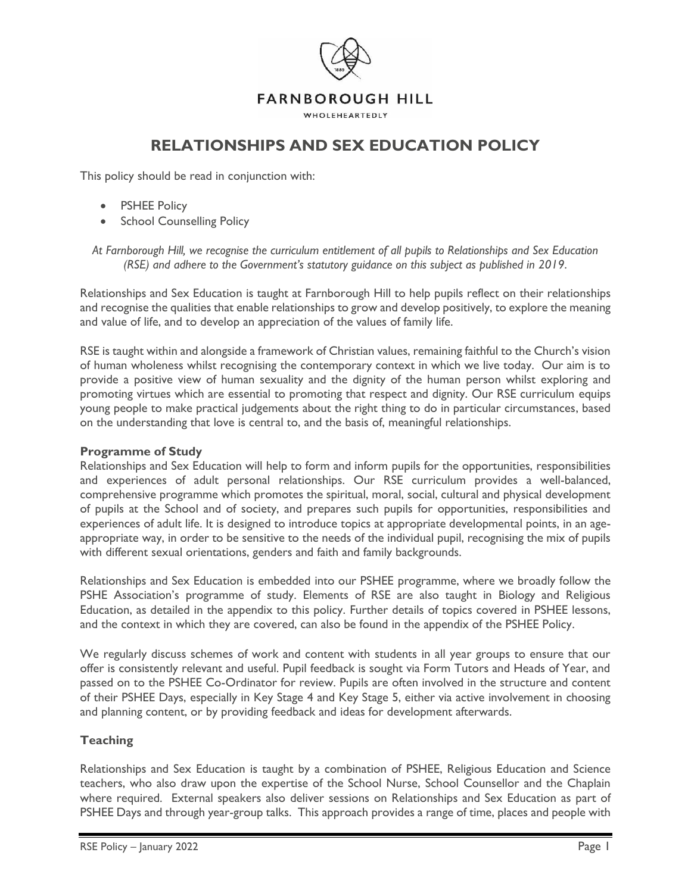

**RELATIONSHIPS AND SEX EDUCATION POLICY**

This policy should be read in conjunction with:

- PSHEE Policy
- School Counselling Policy

*At Farnborough Hill, we recognise the curriculum entitlement of all pupils to Relationships and Sex Education (RSE) and adhere to the Government's statutory guidance on this subject as published in 2019*.

Relationships and Sex Education is taught at Farnborough Hill to help pupils reflect on their relationships and recognise the qualities that enable relationships to grow and develop positively, to explore the meaning and value of life, and to develop an appreciation of the values of family life.

RSE is taught within and alongside a framework of Christian values, remaining faithful to the Church's vision of human wholeness whilst recognising the contemporary context in which we live today. Our aim is to provide a positive view of human sexuality and the dignity of the human person whilst exploring and promoting virtues which are essential to promoting that respect and dignity. Our RSE curriculum equips young people to make practical judgements about the right thing to do in particular circumstances, based on the understanding that love is central to, and the basis of, meaningful relationships.

# **Programme of Study**

Relationships and Sex Education will help to form and inform pupils for the opportunities, responsibilities and experiences of adult personal relationships. Our RSE curriculum provides a well-balanced, comprehensive programme which promotes the spiritual, moral, social, cultural and physical development of pupils at the School and of society, and prepares such pupils for opportunities, responsibilities and experiences of adult life. It is designed to introduce topics at appropriate developmental points, in an ageappropriate way, in order to be sensitive to the needs of the individual pupil, recognising the mix of pupils with different sexual orientations, genders and faith and family backgrounds.

Relationships and Sex Education is embedded into our PSHEE programme, where we broadly follow the PSHE Association's programme of study. Elements of RSE are also taught in Biology and Religious Education, as detailed in the appendix to this policy. Further details of topics covered in PSHEE lessons, and the context in which they are covered, can also be found in the appendix of the PSHEE Policy.

We regularly discuss schemes of work and content with students in all year groups to ensure that our offer is consistently relevant and useful. Pupil feedback is sought via Form Tutors and Heads of Year, and passed on to the PSHEE Co-Ordinator for review. Pupils are often involved in the structure and content of their PSHEE Days, especially in Key Stage 4 and Key Stage 5, either via active involvement in choosing and planning content, or by providing feedback and ideas for development afterwards.

# **Teaching**

Relationships and Sex Education is taught by a combination of PSHEE, Religious Education and Science teachers, who also draw upon the expertise of the School Nurse, School Counsellor and the Chaplain where required. External speakers also deliver sessions on Relationships and Sex Education as part of PSHEE Days and through year-group talks. This approach provides a range of time, places and people with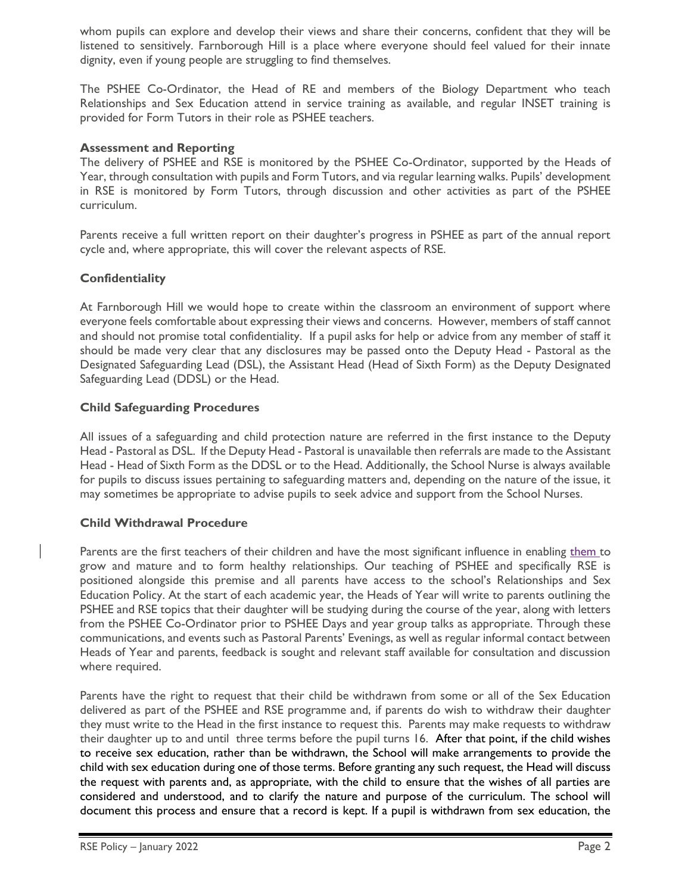whom pupils can explore and develop their views and share their concerns, confident that they will be listened to sensitively. Farnborough Hill is a place where everyone should feel valued for their innate dignity, even if young people are struggling to find themselves.

The PSHEE Co-Ordinator, the Head of RE and members of the Biology Department who teach Relationships and Sex Education attend in service training as available, and regular INSET training is provided for Form Tutors in their role as PSHEE teachers.

# **Assessment and Reporting**

The delivery of PSHEE and RSE is monitored by the PSHEE Co-Ordinator, supported by the Heads of Year, through consultation with pupils and Form Tutors, and via regular learning walks. Pupils' development in RSE is monitored by Form Tutors, through discussion and other activities as part of the PSHEE curriculum.

Parents receive a full written report on their daughter's progress in PSHEE as part of the annual report cycle and, where appropriate, this will cover the relevant aspects of RSE.

# **Confidentiality**

At Farnborough Hill we would hope to create within the classroom an environment of support where everyone feels comfortable about expressing their views and concerns. However, members of staff cannot and should not promise total confidentiality. If a pupil asks for help or advice from any member of staff it should be made very clear that any disclosures may be passed onto the Deputy Head - Pastoral as the Designated Safeguarding Lead (DSL), the Assistant Head (Head of Sixth Form) as the Deputy Designated Safeguarding Lead (DDSL) or the Head.

# **Child Safeguarding Procedures**

All issues of a safeguarding and child protection nature are referred in the first instance to the Deputy Head - Pastoral as DSL. If the Deputy Head - Pastoral is unavailable then referrals are made to the Assistant Head - Head of Sixth Form as the DDSL or to the Head. Additionally, the School Nurse is always available for pupils to discuss issues pertaining to safeguarding matters and, depending on the nature of the issue, it may sometimes be appropriate to advise pupils to seek advice and support from the School Nurses.

# **Child Withdrawal Procedure**

Parents are the first teachers of their children and have the most significant influence in enabling them to grow and mature and to form healthy relationships. Our teaching of PSHEE and specifically RSE is positioned alongside this premise and all parents have access to the school's Relationships and Sex Education Policy. At the start of each academic year, the Heads of Year will write to parents outlining the PSHEE and RSE topics that their daughter will be studying during the course of the year, along with letters from the PSHEE Co-Ordinator prior to PSHEE Days and year group talks as appropriate. Through these communications, and events such as Pastoral Parents' Evenings, as well as regular informal contact between Heads of Year and parents, feedback is sought and relevant staff available for consultation and discussion where required.

Parents have the right to request that their child be withdrawn from some or all of the Sex Education delivered as part of the PSHEE and RSE programme and, if parents do wish to withdraw their daughter they must write to the Head in the first instance to request this. Parents may make requests to withdraw their daughter up to and until three terms before the pupil turns 16. After that point, if the child wishes to receive sex education, rather than be withdrawn, the School will make arrangements to provide the child with sex education during one of those terms. Before granting any such request, the Head will discuss the request with parents and, as appropriate, with the child to ensure that the wishes of all parties are considered and understood, and to clarify the nature and purpose of the curriculum. The school will document this process and ensure that a record is kept. If a pupil is withdrawn from sex education, the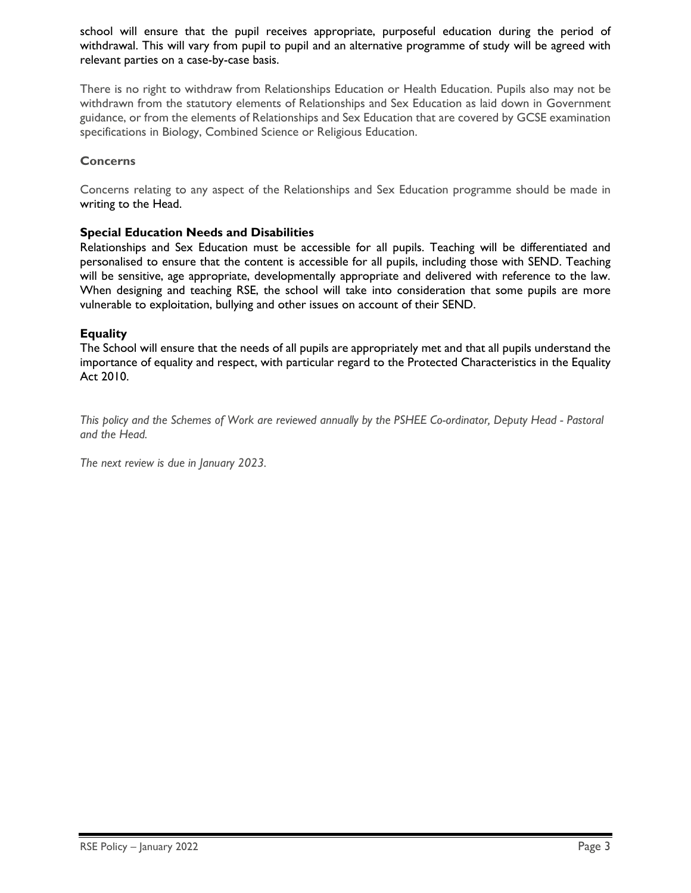school will ensure that the pupil receives appropriate, purposeful education during the period of withdrawal. This will vary from pupil to pupil and an alternative programme of study will be agreed with relevant parties on a case-by-case basis.

There is no right to withdraw from Relationships Education or Health Education. Pupils also may not be withdrawn from the statutory elements of Relationships and Sex Education as laid down in Government guidance, or from the elements of Relationships and Sex Education that are covered by GCSE examination specifications in Biology, Combined Science or Religious Education.

# **Concerns**

Concerns relating to any aspect of the Relationships and Sex Education programme should be made in writing to the Head.

# **Special Education Needs and Disabilities**

Relationships and Sex Education must be accessible for all pupils. Teaching will be differentiated and personalised to ensure that the content is accessible for all pupils, including those with SEND. Teaching will be sensitive, age appropriate, developmentally appropriate and delivered with reference to the law. When designing and teaching RSE, the school will take into consideration that some pupils are more vulnerable to exploitation, bullying and other issues on account of their SEND.

# **Equality**

The School will ensure that the needs of all pupils are appropriately met and that all pupils understand the importance of equality and respect, with particular regard to the Protected Characteristics in the Equality Act 2010.

*This policy and the Schemes of Work are reviewed annually by the PSHEE Co-ordinator, Deputy Head - Pastoral and the Head.*

*The next review is due in January 2023.*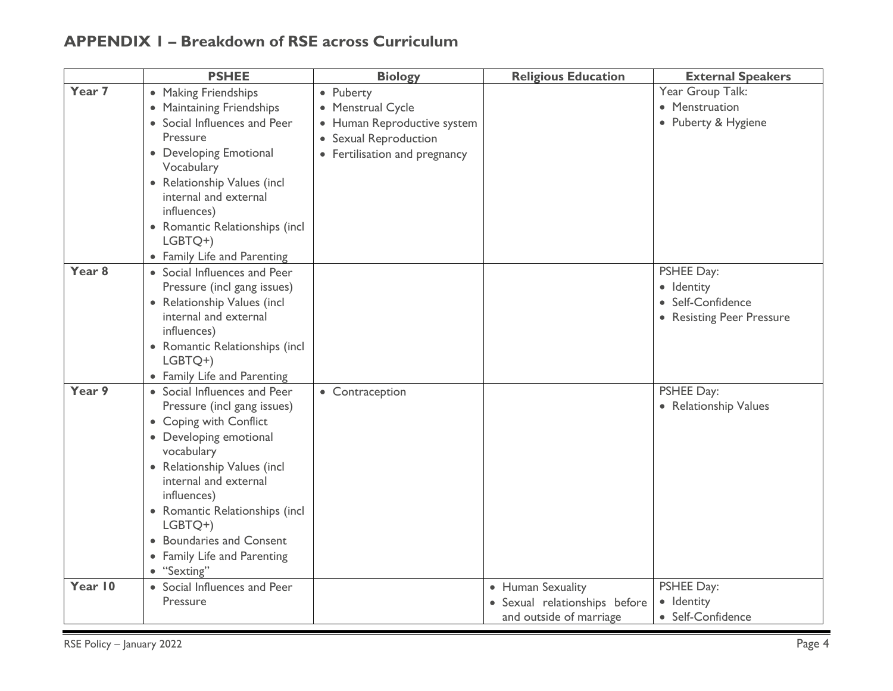# **APPENDIX 1 – Breakdown of RSE across Curriculum**

|                   | <b>PSHEE</b>                              | <b>Biology</b>                | <b>Religious Education</b>  | <b>External Speakers</b>  |
|-------------------|-------------------------------------------|-------------------------------|-----------------------------|---------------------------|
| Year 7            | • Making Friendships                      | • Puberty                     |                             | Year Group Talk:          |
|                   | • Maintaining Friendships                 | • Menstrual Cycle             |                             | • Menstruation            |
|                   | • Social Influences and Peer              | • Human Reproductive system   |                             | • Puberty & Hygiene       |
|                   | Pressure                                  | • Sexual Reproduction         |                             |                           |
|                   | • Developing Emotional                    | • Fertilisation and pregnancy |                             |                           |
|                   | Vocabulary                                |                               |                             |                           |
|                   | • Relationship Values (incl               |                               |                             |                           |
|                   | internal and external                     |                               |                             |                           |
|                   | influences)                               |                               |                             |                           |
|                   | • Romantic Relationships (incl            |                               |                             |                           |
|                   | LGBTQ+)                                   |                               |                             |                           |
|                   | • Family Life and Parenting               |                               |                             |                           |
| Year <sub>8</sub> | • Social Influences and Peer              |                               |                             | <b>PSHEE Day:</b>         |
|                   | Pressure (incl gang issues)               |                               |                             | · Identity                |
|                   | • Relationship Values (incl               |                               |                             | • Self-Confidence         |
|                   | internal and external                     |                               |                             | • Resisting Peer Pressure |
|                   | influences)                               |                               |                             |                           |
|                   | • Romantic Relationships (incl            |                               |                             |                           |
|                   | LGBTQ+)                                   |                               |                             |                           |
|                   | • Family Life and Parenting               |                               |                             |                           |
| Year 9            | • Social Influences and Peer              | • Contraception               |                             | <b>PSHEE Day:</b>         |
|                   | Pressure (incl gang issues)               |                               |                             | • Relationship Values     |
|                   | • Coping with Conflict                    |                               |                             |                           |
|                   | • Developing emotional                    |                               |                             |                           |
|                   | vocabulary<br>• Relationship Values (incl |                               |                             |                           |
|                   | internal and external                     |                               |                             |                           |
|                   | influences)                               |                               |                             |                           |
|                   | • Romantic Relationships (incl            |                               |                             |                           |
|                   | LGBTQ+)                                   |                               |                             |                           |
|                   | • Boundaries and Consent                  |                               |                             |                           |
|                   | • Family Life and Parenting               |                               |                             |                           |
|                   | • "Sexting"                               |                               |                             |                           |
| Year 10           | • Social Influences and Peer              |                               | • Human Sexuality           | <b>PSHEE Day:</b>         |
|                   | Pressure                                  |                               | Sexual relationships before | · Identity                |
|                   |                                           |                               | and outside of marriage     | • Self-Confidence         |